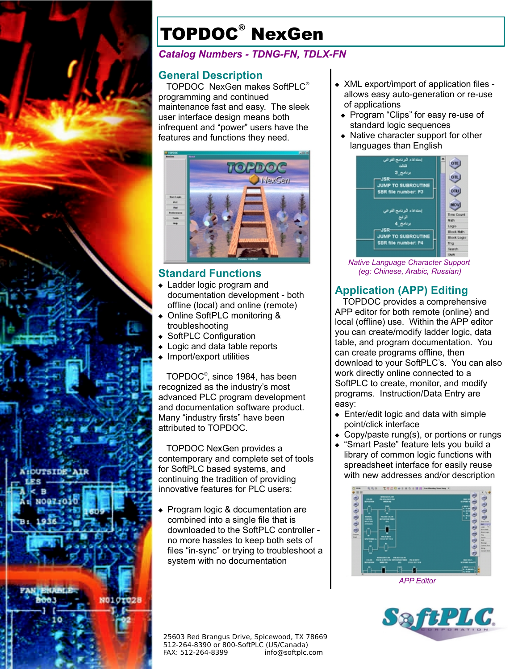

# TOPDOC® NexGen

#### *Catalog Numbers - TDNG-FN, TDLX-FN*

#### **General Description**

TOPDOC NexGen makes SoftPLC® programming and continued maintenance fast and easy. The sleek user interface design means both infrequent and "power" users have the features and functions they need.



## **Standard Functions**

- Ladder logic program and documentation development - both offline (local) and online (remote)
- Online SoftPLC monitoring & troubleshooting
- ◆ SoftPLC Configuration
- ◆ Logic and data table reports
- $\bullet$  Import/export utilities

TOPDOC® , since 1984, has been recognized as the industry's most advanced PLC program development and documentation software product. Many "industry firsts" have been attributed to TOPDOC.

TOPDOC NexGen provides a contemporary and complete set of tools for SoftPLC based systems, and continuing the tradition of providing innovative features for PLC users:

- ◆ Program logic & documentation are combined into a single file that is downloaded to the SoftPLC controller no more hassles to keep both sets of files "in-sync" or trying to troubleshoot a system with no documentation
- 25603 Red Brangus Drive, Spicewood, TX 78669 512-264-8390 or 800-SoftPLC (US/Canada) FAX: 512-264-8399 info@softplc.com
- XML export/import of application files allows easy auto-generation or re-use of applications
- Program "Clips" for easy re-use of standard logic sequences
- Native character support for other languages than English



*Native Language Character Support (eg: Chinese, Arabic, Russian)*

## **Application (APP) Editing**

TOPDOC provides a comprehensive APP editor for both remote (online) and local (offline) use. Within the APP editor you can create/modify ladder logic, data table, and program documentation. You can create programs offline, then download to your SoftPLC's. You can also work directly online connected to a SoftPLC to create, monitor, and modify programs. Instruction/Data Entry are easy:

- Enter/edit logic and data with simple point/click interface
- Copy/paste rung(s), or portions or rungs
- "Smart Paste" feature lets you build a library of common logic functions with spreadsheet interface for easily reuse with new addresses and/or description



*APP Editor*